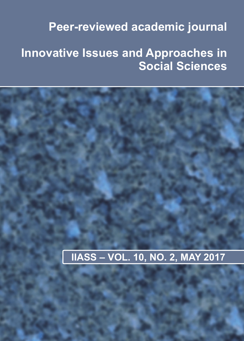# **Peer-reviewed academic journal**

# **Innovative Issues and Approaches in Social Sciences**

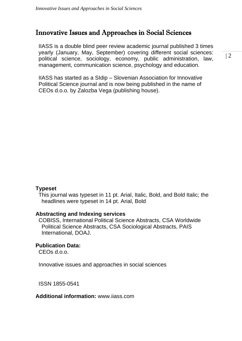## Innovative Issues and Approaches in Social Sciences

IIASS is a double blind peer review academic journal published 3 times yearly (January, May, September) covering different social sciences: political science, sociology, economy, public administration, law, management, communication science, psychology and education.

IIASS has started as a SIdip – Slovenian Association for Innovative Political Science journal and is now being published in the name of CEOs d.o.o. by Zalozba Vega (publishing house).

## **Typeset**

This journal was typeset in 11 pt. Arial, Italic, Bold, and Bold Italic; the headlines were typeset in 14 pt. Arial, Bold

## **Abstracting and Indexing services**

COBISS, International Political Science Abstracts, CSA Worldwide Political Science Abstracts, CSA Sociological Abstracts, PAIS International, DOAJ.

## **Publication Data:**

CEOs d.o.o.

Innovative issues and approaches in social sciences

ISSN 1855-0541

## **Additional information:** www.iiass.com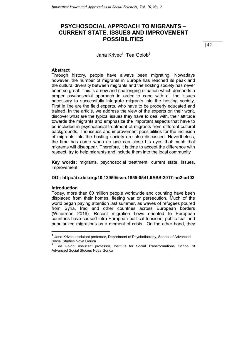## PSYCHOSOCIAL APPROACH TO MIGRANTS – CURRENT STATE, ISSUES AND IMPROVEMENT POSSIBILITIES

Jana Krivec<sup>1</sup>, Tea Golob<sup>2</sup>

## Abstract

Through history, people have always been migrating. Nowadays however, the number of migrants in Europe has reached its peak and the cultural diversity between migrants and the hosting society has never been so great. This is a new and challenging situation which demands a proper psychosocial approach in order to cope with all the issues necessary to successfully integrate migrants into the hosting society. First in line are the field experts, who have to be properly educated and trained. In the article, we address the view of the experts on their work, discover what are the typical issues they have to deal with, their attitude towards the migrants and emphasize the important aspects that have to be included in psychosocial treatment of migrants from different cultural backgrounds. The issues and improvement possibilities for the inclusion of migrants into the hosting society are also discussed. Nevertheless, the time has come when no one can close his eyes that much that migrants will disappear. Therefore, it is time to accept the difference with respect, try to help migrants and include them into the local community

Key words: migrants, psychosocial treatment, current state, issues, improvement

#### DOI: http://dx.doi.org/10.12959/issn.1855-0541.IIASS-2017-no2-art03

## Introduction

-

Today, more than 60 million people worldwide and counting have been displaced from their homes, fleeing war or persecution. Much of the world began paying attention last summer, as waves of refugees poured from Syria, Iraq and other countries across European borders (Winerman 2016). Recent migration flows oriented to European countries have caused intra-European political tensions, public fear and popularized migrations as a moment of crisis. On the other hand, they

<sup>1</sup> Jana Krivec, assistant professor, Department of Psychotherapy, School of Advanced Social Studies Nova Gorica<br>2 –

<sup>2</sup> Tea Golob, assistant professor, Institute for Social Transformations, School of Advanced Social Studies Nova Gorica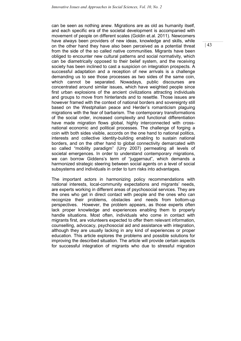can be seen as nothing anew. Migrations are as old as humanity itself, and each specific era of the societal development is accompanied with movement of people on different scales (Goldin et.al. 2011). Newcomers have always been providers of new ideas, knowledge and skills, while on the other hand they have also been perceived as a potential threat from the side of the so called native communities. Migrants have been obliged to encounter new cultural patterns and social normativity, which can be diametrically opposed to their belief system, and the receiving society has been inclined to cast a suspicion on integration prospects. A successful adaptation and a reception of new arrivals is a challenge demanding us to see those processes as two sides of the same coin, which cannot be separated. Nowadays, public discourses are concentrated around similar issues, which have weighted people since first urban explosions of the ancient civilizations attracting individuals and groups to move from hinterlands and to resettle. Those issues are however framed with the context of national borders and sovereignty still based on the Westphalian peace and Herder's romanticism plaguing migrations with the fear of barbarism. The contemporary transformations of the social order, increased complexity and functional differentiation have made migration flows global, highly interconnected with crossnational economic and political processes. The challenge of forging a coin with both sides visible, accords on the one hand to national politics, interests and collective identity-building enabling to sustain national borders, and on the other hand to global connectivity demarcated with so called "mobility paradigm" (Urry 2007) permeating all levels of societal emergences. In order to understand contemporary migrations, we can borrow Giddens's term of "juggernaut", which demands a harmonized strategic steering between social agents on a level of social subsystems and individuals in order to turn risks into advantages.

The important actors in harmonizing policy recommendations with national interests, local-community expectations and migrants' needs, are experts working in different areas of psychosocial services. They are the ones who get in direct contact with people and the ones who can recognize their problems, obstacles and needs from bottom-up perspectives. However, the problem appears, as those experts often lack proper knowledge and experiences enabling them to properly handle situations. Most often, individuals who come in contact with migrants first, are volunteers expected to offer them relevant information, counselling, advocacy, psychosocial aid and assistance with integration, although they are usually lacking in any kind of experiences or proper education. This article explores the problems and possible solutions for improving the described situation. The article will provide certain aspects for successful integration of migrants who due to stressful migration  $|43|$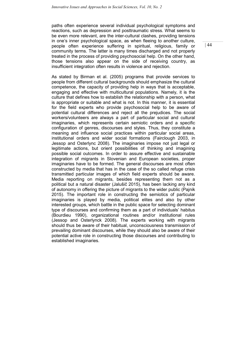paths often experience several individual psychological symptoms and reactions, such as depression and posttraumatic stress. What seems to be even more relevant, are the inter-cultural clashes, providing tensions in one's inner psychological space, as when fleeing to another culture, people often experience suffering in spiritual, religious, family or community terms. The latter is many times discharged and not properly treated in the process of providing psychosocial help. On the other hand, those tensions also appear on the side of receiving country, as insufficient integration often results in violence and rejection.

As stated by Birman et al. (2005) programs that provide services to people from different cultural backgrounds should emphasize the cultural competence, the capacity of providing help in ways that is acceptable, engaging and effective with multicultural populations. Namely, it is the culture that defines how to establish the relationship with a person, what is appropriate or suitable and what is not. In this manner, it is essential for the field experts who provide psychosocial help to be aware of potential cultural differences and reject all the prejudices. The social workers/volunteers are always a part of particular social and cultural imaginaries, which represents certain semiotic orders and a specific configuration of genres, discourses and styles. Thus, they constitute a meaning and influence social practices within particular social areas, institutional orders and wider social formations (Fairclough 2003, in Jessop and Osterlync 2008). The imaginaries impose not just legal or legitimate actions, but orient possibilities of thinking and imagining possible social outcomes. In order to assure effective and sustainable integration of migrants in Slovenian and European societies, proper imaginaries have to be formed. The general discourses are most often constructed by media that has in the case of the so called refuge crisis transmitted particular images of which field experts should be aware. Media reporting on migrants, besides representing them not as a political but a natural disaster (Jalušič 2015), has been lacking any kind of autonomy in offering the picture of migrants to the wider public (Pajnik 2015). The important role in constructing the semiotics of particular imaginaries is played by media, political elites and also by other interested groups, which battle in the public space for selecting dominant type of discourses and confirming them as a part of individuals' habitus (Bourdieu 1990), organizational routines and/or institutional rules (Jessop and Osterlynck 2008). The experts working with migrants should thus be aware of their habitual, unconsciousness transmission of prevailing dominant discourses, while they should also be aware of their potential active role in constructing those discourses and contributing to established imaginaries.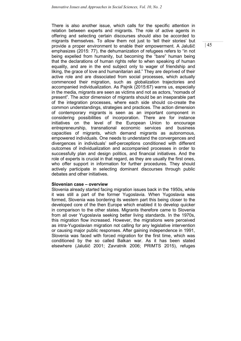There is also another issue, which calls for the specific attention in relation between experts and migrants. The role of active agents in offering and selecting certain discourses should also be accorded to migrants themselves. To allow them not just to 'tell their stories' but provide a proper environment to enable their empowerment. A Jalušič emphasizes (2015: 77), the dehumanization of refugees refers to "in not being expelled from humanity, but becoming the "bare" human being that the declarations of human rights refer to when speaking of human equality, and are in the end subject only to wager of friendship and liking, the grace of love and humanitarian aid." They are deprived of their active role and are dissociated from social processes, which actually commenced their migration, such as globalization trajectories and accompanied individualization. As Pajnik (2015:67) warns us, especially in the media, migrants are seen as victims and not as actors, "nomads of present". The actor dimension of migrants should be an inseparable part of the integration processes, where each side should co-create the common understandings, strategies and practices. The action dimension of contemporary migrants is seen as an important component in considering possibilities of incorporation. There are for instance initiatives on the level of the European Union to encourage entrepreneurship, transnational economic services and business capacities of migrants, which demand migrants as autonomous, empowered individuals. One needs to understand the convergences and divergences in individuals' self-perceptions conditioned with different outcomes of individualization and accompanied processes in order to successfully plan and design politics, and financial initiatives. And the role of experts is crucial in that regard, as they are usually the first ones, who offer support in information for further procedures. They should actively participate in selecting dominant discourses through public debates and other initiatives.

## Slovenian case – overview

Slovenia already started facing migration issues back in the 1950s, while it was still a part of the former Yugoslavia. When Yugoslavia was formed, Slovenia was bordering its western part this being closer to the developed core of the then Europe which enabled it to develop quicker in comparison to the other states. Migrants therefore came to Slovenia from all over Yugoslavia seeking better living standards. In the 1970s, this migration flow increased. However, the migrations were perceived as intra-Yugoslavian migration not calling for any legislative intervention or causing major public responses. After gaining independence in 1991, Slovenia was faced with forced migration for the first time, which was conditioned by the so called Balkan war. As it has been stated elsewhere (Jalušič 2001; Zavratnik 2006; PRIMTS 2015), refuges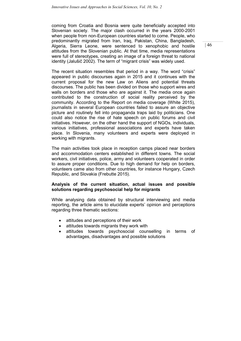coming from Croatia and Bosnia were quite beneficially accepted into Slovenian society. The major clash occurred in the years 2000-2001 when people from non-European countries started to come. People, who predominantly migrated from Iran, Iraq, Pakistan, China, Bangladesh, Algeria, Sierra Leone, were sentenced to xenophobic and hostile attitudes from the Slovenian public. At that time, media representations were full of stereotypes, creating an image of a foreign threat to national identity (Jalušič 2002). The term of "migrant crisis" was widely used.

The recent situation resembles that period in a way. The word "crisis" appeared in public discourses again in 2015 and it continues with the current proposal for the new Law on Aliens and potential threats discourses. The public has been divided on those who support wires and walls on borders and those who are against it. The media once again contributed to the construction of social reality perceived by the community. According to the Report on media coverage (White 2015), journalists in several European countries failed to assure an objective picture and routinely fell into propaganda traps laid by politicians. One could also notice the rise of hate speech on public forums and civil initiatives. However, on the other hand the support of NGOs, individuals, various initiatives, professional associations and experts have taken place. In Slovenia, many volunteers and experts were deployed in working with migrants.

The main activities took place in reception camps placed near borders and accommodation centers established in different towns. The social workers, civil initiatives, police, army and volunteers cooperated in order to assure proper conditions. Due to high demand for help on borders, volunteers came also from other countries, for instance Hungary, Czech Republic, and Slovakia (Frebutte 2015).

## Analysis of the current situation, actual issues and possible solutions regarding psychosocial help for migrants

While analysing data obtained by structural interviewing and media reporting, the article aims to elucidate experts' opinion and perceptions regarding three thematic sections:

- attitudes and perceptions of their work
- attitudes towards migrants they work with
- attitudes towards psychosocial counselling in terms of advantages, disadvantages and possible solutions

 $|46\rangle$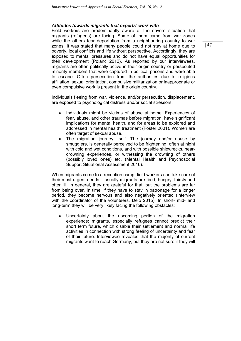## Attitudes towards migrants that experts' work with

Field workers are predominantly aware of the severe situation that migrants (refugees) are facing. Some of them came from war zones while the others fear deportation from a neighbouring country to war zones. It was stated that many people could not stay at home due to poverty, local conflicts and life without perspective. Accordingly, they are exposed to mental pressures and do not have equal opportunities for their development (Polanc 2012). As reported by our interviewees, migrants are often politically active in their origin country or persecuted minority members that were captured in political prisons and were able to escape. Often persecution from the authorities due to religious affiliation, sexual orientation, compulsive militarization or inappropriate or even compulsive work is present in the origin country.

Individuals fleeing from war, violence, and/or persecution, displacement, are exposed to psychological distress and/or social stressors:

- Individuals might be victims of abuse at home. Experiences of fear, abuse, and other traumas before migration, have significant implications for mental health, and for areas to be explored and addressed in mental health treatment (Foster 2001). Women are often target of sexual abuse.
- The migration journey itself. The journey and/or abuse by smugglers, is generally perceived to be frightening, often at night with cold and wet conditions, and with possible shipwrecks, neardrowning experiences, or witnessing the drowning of others (possibly loved ones) etc. (Mental Health and Psychosocial Support Situational Assessment 2016).

When migrants come to a reception camp, field workers can take care of their most urgent needs – usually migrants are tired, hungry, thirsty and often ill. In general, they are grateful for that, but the problems are far from being over. In time, if they have to stay in patronage for a longer period, they become nervous and also negatively oriented (interview with the coordinator of the volunteers, Delo 2015). In short- mid- and long-term they will be very likely facing the following obstacles:

 Uncertainty about the upcoming portion of the migration experience: migrants, especially refugees cannot predict their short term future, which disable their settlement and normal life activities in connection with strong feeling of uncertainty and fear of their future. Interviewee revealed that the majority of current migrants want to reach Germany, but they are not sure if they will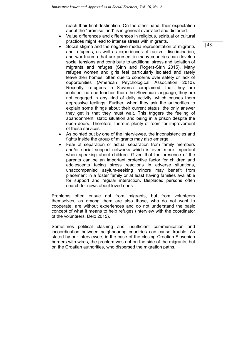reach their final destination. On the other hand, their expectation about the "promise land" is in general overrated and distorted.

- Value differences and differences in religious, spiritual or cultural practices might lead to intense stress with migrants.
- Social stigma and the negative media representation of migrants and refugees, as well as experiences of racism, discrimination, and war trauma that are present in many countries can develop social tensions and contribute to additional stress and isolation of migrants and refuges (Sirin and Rogers-Sirin 2015). Many refugee women and girls feel particularly isolated and rarely leave their homes, often due to concerns over safety or lack of opportunities (American Psychological Association 2010). Recently, refugees in Slovenia complained, that they are isolated, no one teaches them the Slovenian language, they are not engaged in any kind of daily activity, which causes them depressive feelings. Further, when they ask the authorities to explain some things about their current status, the only answer they get is that they must wait. This triggers the feeling of abandonment, static situation and being in a prison despite the open doors. Therefore, there is plenty of room for improvement of these services.
- As pointed out by one of the interviewee, the inconsistencies and fights inside the group of migrants may also emerge.
- Fear of separation or actual separation from family members and/or social support networks which is even more important when speaking about children. Given that the presence of the parents can be an important protective factor for children and adolescents facing stress reactions in adverse situations, unaccompanied asylum-seeking minors may benefit from placement in a foster family or at least having families available for support and regular interaction. Displaced persons often search for news about loved ones.

Problems often ensue not from migrants, but from volunteers themselves, as among them are also those, who do not want to cooperate, are without experiences and do not understand the basic concept of what it means to help refuges (interview with the coordinator of the volunteers, Delo 2015).

Sometimes political clashing and insufficient communication and incoordination between neighbouring countries can cause trouble. As stated by our interviewee, in the case of the closing Croatian-Slovenian borders with wires, the problem was not on the side of the migrants, but on the Croatian authorities, who dispersed the migration paths.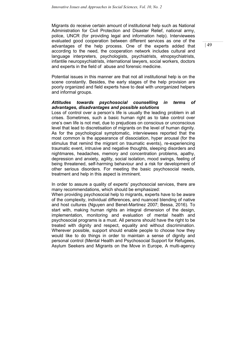Migrants do receive certain amount of institutional help such as National Administration for Civil Protection and Disaster Relief, national army, police, UNCR (for providing legal and information help). Interviewees evaluated good cooperation between different services as one of the advantages of the help process. One of the experts added that according to the need, the cooperation network includes cultural and language interpreters, psychologists, psychiatrists, etnopsychiatrists, infantile neuropsychiatrists, international lawyers, social workers, doctors and experts in the field of abuse and forensic medicine.

Potential issues in this manner are that not all institutional help is on the scene constantly. Besides, the early stages of the help provision are poorly organized and field experts have to deal with unorganized helpers and informal groups.

## Attitudes towards psychosocial counselling in terms of advantages, disadvantages and possible solutions

Loss of control over a person's life is usually the leading problem in all crises. Sometimes, such a basic human right as to take control over one's own life is not met, due to prejudices on conscious or unconscious level that lead to discretisation of migrants on the level of human dignity. As for the psychological symptomatic, interviewees reported that the most common is the appearance of dissociation, hyper arousal (for the stimulus that remind the migrant on traumatic events), re-experiencing traumatic event, intrusive and negative thoughts, sleeping disorders and nightmares, headaches, memory and concentration problems, apathy, depression and anxiety, agility, social isolation, mood swings, feeling of being threatened, self-harming behaviour and a risk for development of other serious disorders. For meeting the basic psychosocial needs, treatment and help in this aspect is imminent.

In order to assure a quality of experts' psychosocial services, there are many recommendations, which should be emphasized:

When providing psychosocial help to migrants, experts have to be aware of the complexity, individual differences, and nuanced blending of native and host cultures (Nguyen and Benet-Martinez 2007; Bessa, 2016). To start with, making human rights an integral dimension of the design, implementation, monitoring and evaluation of mental health and psychosocial programs is a must. All persons should have the right to be treated with dignity and respect, equality and without discrimination. Wherever possible, support should enable people to choose how they would like to do things in order to maintain a sense of dignity and personal control (Mental Health and Psychosocial Support for Refugees, Asylum Seekers and Migrants on the Move in Europe, A multi-agency  $|49\rangle$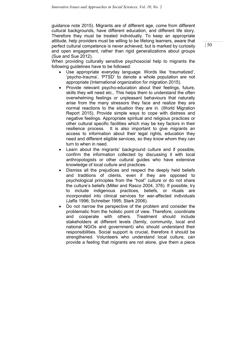guidance note 2015). Migrants are of different age, come from different cultural backgrounds, have different education, and different life story. Therefore they must be treated individually. To keep an appropriate attitude, help providers must be willing to be lifelong learners, aware that perfect cultural competence is never achieved, but is marked by curiosity and open engagement, rather than rigid generalizations about groups (Sue and Sue 2012).

When providing culturally sensitive psychosocial help to migrants the following guidelines have to be followed:

- Use appropriate everyday language. Words like 'traumatized', 'psycho-trauma', 'PTSD' to denote a whole population are not appropriate (International organization for migration 2015).
- Provide relevant psycho-education about their feelings, future, skills they will need etc., This helps them to understand the often overwhelming feelings or unpleasant behaviours that naturally arise from the many stressors they face and realize they are normal reactions to the situation they are in. (World Migration Report 2015). Provide simple ways to cope with distress and negative feelings. Appropriate spiritual and religious practices or other cultural specific facilities which may be key factors in their resilience process. It is also important to give migrants an access to information about their legal rights, education they need and different eligible services, so they know whom they can turn to when in need.
- Learn about the migrants' background culture and if possible, confirm the information collected by discussing it with local anthropologists or other cultural guides who have extensive knowledge of local culture and practices.
- Dismiss all the prejudices and respect the deeply held beliefs and traditions of clients, even if they are opposed to psychological principles from the "host" culture or do not share the culture's beliefs (Miller and Rasco 2004, 376). If possible, try to include indigenous practices, beliefs, or rituals are incorporated into clinical services for war-affected individuals (Jaffa 1996; Schreiber 1995; Stark 2006).
- Do not narrow the perspective of the problem and consider the problematic from the holistic point of view. Therefore, coordinate and cooperate with others. Treatment should include stakeholders at different levels (family, community, local and national NGOs and government) who should understand their responsibilities. Social support is crucial, therefore it should be strengthened. Volunteers who understand local culture, can provide a feeling that migrants are not alone, give them a piece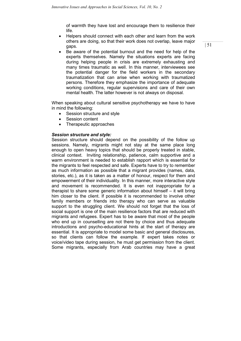of warmth they have lost and encourage them to resilience their life.

- Helpers should connect with each other and learn from the work others are doing, so that their work does not overlap, leave major gaps.
- Be aware of the potential burnout and the need for help of the experts themselves. Namely the situations experts are facing during helping people in crisis are extremely exhausting and many times traumatic as well. In this manner, interviewees see the potential danger for the field workers in the secondary traumatization that can arise when working with traumatized persons. Therefore they emphasize the importance of adequate working conditions, regular supervisions and care of their own mental health. The latter however is not always on disposal.

When speaking about cultural sensitive psychotherapy we have to have in mind the following:

- Session structure and style
- Session content
- Therapeutic approaches

## Session structure and style:

Session structure should depend on the possibility of the follow up sessions. Namely, migrants might not stay at the same place long enough to open heavy topics that should be properly treated in stable, clinical context. Inviting relationship, patience, calm supportive and a warm environment is needed to establish rapport which is essential for the migrants to feel respected and safe. Experts have to try to remember as much information as possible that a migrant provides (names, data, stories, etc.), as it is taken as a matter of honour, respect for them and empowerment of their individuality. In this manner, more interactive style and movement is recommended. It is even not inappropriate for a therapist to share some generic information about himself – it will bring him closer to the client. If possible it is recommended to involve other family members or friends into therapy who can serve as valuable support to the struggling client. We should not forget that the loss of social support is one of the main resilience factors that are reduced with migrants and refugees. Expert has to be aware that most of the people who end up in counselling are not there by choice and thus adequate introductions and psycho-educational hints at the start of therapy are essential. It is appropriate to model some basic and general disclosures, so that clients can follow the example. If expert takes notes or voice/video tape during session, he must get permission from the client. Some migrants, especially from Arab countries may have a great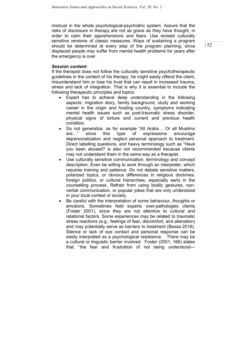mistrust in the whole psychological-psychiatric system. Assure that the risks of disclosure in therapy are not as grave as they have thought, in order to calm their apprehensions and fears. Use revised culturally sensitive versions of classic measures. Ways of sustaining a program should be determined at every step of the program planning, since displaced people may suffer from mental health problems for years after the emergency is over.

## Session content:

If the therapist does not follow the culturally sensitive psychotherapeutic guidelines in the content of his therapy, he might easily offend the client, misunderstand him or lose his trust that can result in increased trauma, stress and lack of integration. That is why it is essential to include the following therapeutic principles and topics:

- Expert has to achieve deep understanding in the following aspects: migration story, family background, study and working career in the origin and hosting country, symptoms indicating mental health issues such as post-traumatic stress disorder, physical signs of torture and current and previous health condition.
- Do not generalize, as for example "All Arabs… Or all Muslims are…" since this type of expressions encourage depersonalization and neglect personal approach to treatment. Direct labelling questions, and heavy terminology such as "Have you been abused? is also not recommended because clients may not understand them in the same way as a therapist.
- Use culturally sensitive communication, terminology and concept description. Even be willing to work through an interpreter, which requires training and patience. Do not debate sensitive matters, polarized topics, or obvious differences in religious doctrines, foreign politics, or cultural hierarchies, especially early in the counselling process. Refrain from using bodily gestures, nonverbal communication, or popular jokes that are only understood in your local context or society.
- Be careful with the interpretation of some behaviour, thoughts or emotions. Sometimes field experts over-pathologies clients (Foster 2001), since they are not attentive to cultural and relational factors. Some experiences may be related to traumatic stress reactions (e.g., feelings of fear, discomfort, and alienation) and may potentially serve as barriers to treatment (Bessa 2016). Silence or lack of eye contact and personal response can be easily interpreted as a psychological resistance. There may be a cultural or linguistic barrier involved. Foster (2001, 166) states that, "the fear and frustration of not being understood—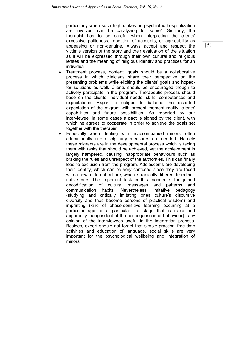particularly when such high stakes as psychiatric hospitalization are involved—can be paralyzing for some". Similarly, the therapist has to be careful when interpreting the clients' excessive politeness, repetition of accounts, or agreeability as appeasing or non-genuine. Always accept and respect the victim's version of the story and their evaluation of the situation as it will be expressed through their own cultural and religious lenses and the meaning of religious identity and practices for an individual.

- Treatment process, content, goals should be a collaborative process in which clinicians share their perspective on the presenting problems while eliciting the clients' goals and hopedfor solutions as well. Clients should be encouraged though to actively participate in the program. Therapeutic process should base on the clients' individual needs, skills, competences and expectations. Expert is obliged to balance the distorted expectation of the migrant with present moment reality, clients' capabilities and future possibilities. As reported by our interviewee, in some cases a pact is signed by the client, with which he agrees to cooperate in order to achieve the goals set together with the therapist.
- Especially when dealing with unaccompanied minors, often educationally and disciplinary measures are needed. Namely these migrants are in the developmental process which is facing them with tasks that should be achieved, yet the achievement is largely hampered, causing inappropriate behaviours such as braking the rules and unrespect of the authorities. This can finally lead to exclusion from the program. Adolescents are developing their identity, which can be very confused since they are faced with a new, different culture, which is radically different from their native one. The important task in this manner is the joined decodification of cultural messages and patterns and communication habits. Nevertheless, imitative pedagogy (studying and critically imitating ones culture's discursive diversity and thus become persons of practical wisdom) and imprinting (kind of phase-sensitive learning occurring at a particular age or a particular life stage that is rapid and apparently independent of the consequences of behaviour) is by opinion of the interviewees useful in the integration process. Besides, expert should not forget that simple practical free time activities and education of language, social skills are very important for the psychological wellbeing and integration of minors.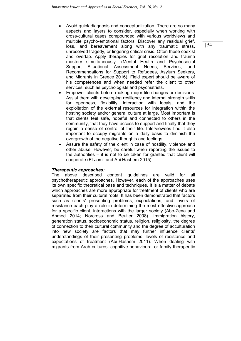- Avoid quick diagnosis and conceptualization. There are so many aspects and layers to consider, especially when working with cross-cultural cases compounded with various worldviews and multiple psycho-emotional factors. Discover any residual grief, loss, and bereavement along with any traumatic stress, unresolved tragedy, or lingering critical crisis. Often these coexist and overlap. Apply therapies for grief resolution and trauma mastery simultaneously. (Mental Health and Psychosocial Support Situational Assessment Needs, Services, and Recommendations for Support to Refugees, Asylum Seekers, and Migrants in Greece 2016). Field expert should be aware of his competences and when needed refer the client to other services, such as psychologists and psychiatrists.
- Empower clients before making major life changes or decisions. Assist them with developing resiliency and internal strength skills for openness, flexibility, interaction with locals, and the exploitation of the external resources for integration within the hosting society and/or general culture at large. Most important is that clients feel safe, hopeful and connected to others in the community, that they have access to support and finally that they regain a sense of control of their life. Interviewees find it also important to occupy migrants on a daily basis to diminish the overgrowth of the negative thoughts and feelings.
- Assure the safety of the client in case of hostility, violence and other abuse. However, be careful when reporting the issues to the authorities – it is not to be taken for granted that client will cooperate (El-Jamil and Abi Hashem 2015).

## Therapeutic approaches:

The above described content guidelines are valid for all psychotherapeutic approaches. However, each of the approaches uses its own specific theoretical base and techniques. It is a matter of debate which approaches are more appropriate for treatment of clients who are separated from their cultural roots. It has been demonstrated that factors such as clients' presenting problems, expectations, and levels of resistance each play a role in determining the most effective approach for a specific client, interactions with the larger society (Abo-Zena and Ahmed 2014; Norcross and Beutler 2008). Immigration history, generation status, socioeconomic status, religion, religiosity, the degree of connection to their cultural community and the degree of acculturation into new society are factors that may further influence clients' understandings of their presenting problems, levels of resistance and expectations of treatment (Abi-Hashem 2011). When dealing with migrants from Arab cultures, cognitive behavioural or family therapeutic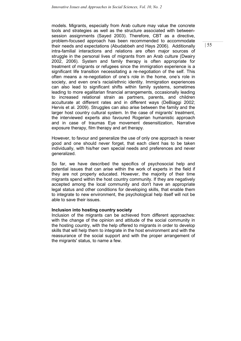models. Migrants, especially from Arab culture may value the concrete tools and strategies as well as the structure associated with betweensession assignments (Sayed 2003). Therefore, CBT as a directive, problem-focused approach has been recommended to accommodate their needs and expectations (Abudabbeh and Hays 2006). Additionally intra-familial interactions and relations are often major sources of struggle in the personal lives of migrants from an Arab culture (Dwairy 2002, 2006). System and family therapy is often appropriate for treatment of migrants or refugees since the immigration experience is a significant life transition necessitating a re-negotiation of the self. This often means a re-negotiation of one's role in the home, one's role in society, and even one's racial/ethnic identity. Immigration experiences can also lead to significant shifts within family systems, sometimes leading to more egalitarian financial arrangements, occasionally leading to increased relational strain as partners, parents, and children acculturate at different rates and in different ways (DeBiaggi 2002; Hervis et al. 2009). Struggles can also arise between the family and the larger host country cultural system. In the case of migrants' treatment, the interviewed experts also favoured Rogerian humanistic approach and in case of traumas Eye movement desensitization, Narrative exposure therapy, film therapy and art therapy.

However, to favour and generalize the use of only one approach is never good and one should never forget, that each client has to be taken individually, with his/her own special needs and preferences and never generalized.

So far, we have described the specifics of psychosocial help and potential issues that can arise within the work of experts in the field if they are not properly educated. However, the majority of their time migrants spend within the host country community. If they are negatively accepted among the local community and don't have an appropriate legal status and other conditions for developing skills, that enable them to integrate to new environment, the psychological help itself will not be able to save their issues.

## Inclusion into hosting country society

Inclusion of the migrants can be achieved from different approaches: with the change of the opinion and attitude of the social community in the hosting country, with the help offered to migrants in order to develop skills that will help them to integrate in the host environment and with the reassurance of the social support and with the proper arrangement of the migrants' status, to name a few.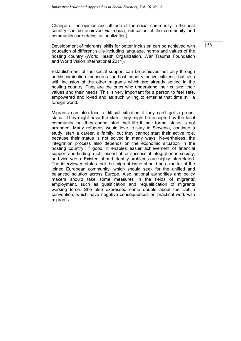Change of the opinion and attitude of the social community in the host country can be achieved via media, education of the community and community care (deinstitutionalization).

Development of migrants' skills for better inclusion can be achieved with education of different skills including language, norms and values of the hosting country (World Health Organization, War Trauma Foundation and World Vision International 2011).

Establishment of the social support can be achieved not only through antidiscrimination measures for host country native citizens, but also with inclusion of the other migrants which are already settled in the hosting country. They are the ones who understand their culture, their values and their needs. This is very important for a person to feel safe, empowered and loved and as such willing to enter at that time still a foreign world.

Migrants can also face a difficult situation if they can't get a proper status. They might have the skills, they might be accepted by the local community, but they cannot start their life if their formal status is not arranged. Many refugees would love to stay in Slovenia, continue a study, start a career, a family, but they cannot start their active role, because their status is not solved in many ways. Nevertheless, the integration process also depends on the economic situation in the hosting country. If good, it enables easier achievement of financial support and finding a job, essential for successful integration in society, and vice versa. Existential and identity problems are highly interrelated. The interviewee states that the migrant issue should be a matter of the joined European community, which should seek for the unified and balanced solution across Europe. Also national authorities and policy makers should take some measures in the fields of migrants' employment, such as qualification and requalification of migrants working force. She also expressed some doubts about the Dublin convention, which have negative consequences on practical work with migrants.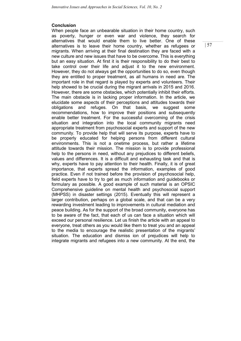## Conclusion

When people face an unbearable situation in their home country, such as poverty, hunger or even war and violence, they search for alternatives that would enable them to live better. One of these alternatives is to leave their home country, whether as refugees or migrants. When arriving at their final destination they are faced with a new culture and new issues that have to be overcome. This is everything but an easy situation. At first it is their responsibility to do their best to take control over their life and adjust it to the new environment. However, they do not always get the opportunities to do so, even though they are entitled to proper treatment, as all humans in need are. The important role in that regard is played by experts and volunteers. Their help showed to be crucial during the migrant arrivals in 2015 and 2016. However, there are some obstacles, which potentially inhibit their efforts. The main obstacle is in lacking proper information. In the article, we elucidate some aspects of their perceptions and attitudes towards their obligations and refuges. On that basis, we suggest some recommendations, how to improve their positions and subsequently enable better treatment. For the successful overcoming of the crisis situation and integration into the local community migrants need appropriate treatment from psychosocial experts and support of the new community. To provide help that will serve its purpose, experts have to be properly educated for helping persons from different cultural environments. This is not a onetime process, but rather a lifetime attitude towards their mission. The mission is to provide professional help to the persons in need, without any prejudices to different beliefs, values and differences. It is a difficult and exhausting task and that is why, experts have to pay attention to their health. Finally, it is of great importance, that experts spread the information, examples of good practice. Even if not trained before the provision of psychosocial help, field experts have to try to get as much information and guidebooks or formulary as possible. A good example of such material is an OPSIC Comprehensive guideline on mental health and psychosocial support (MHPSS) in disaster settings (2015). Eventually this will represent a larger contribution, perhaps on a global scale, and that can be a very rewarding investment leading to improvements in cultural mediation and peace building. As for the support of the broad community, everyone has to be aware of the fact, that each of us can face a situation which will exceed our personal resilience. Let us finish the article with an appeal to everyone, treat others as you would like them to treat you and an appeal to the media to encourage the realistic presentation of the migrants' situation. The education and dismiss ion of prejudices will help to integrate migrants and refugees into a new community. At the end, the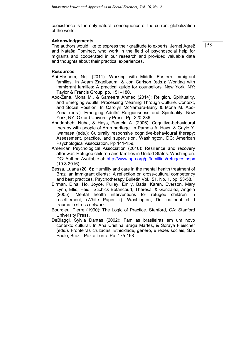coexistence is the only natural consequence of the current globalization of the world.

### Acknowledgements

The authors would like to express their gratitude to experts, Jernej Agrež and Nataša Tominec, who work in the field of psychosocial help for migrants and cooperated in our research and provided valuable data and thoughts about their practical experiences.

### **Resources**

- Abi-Hashem, Naji (2011): Working with Middle Eastern immigrant families. In Adam Zagelbaum, & Jon Carlson (eds.): Working with immigrant families: A practical guide for counsellors. New York, NY: Taylor & Francis Group, pp. 151–180.
- Abo-Zena, Mona M., & Sameera Ahmed (2014): Religion, Spirituality, and Emerging Adults: Processing Meaning Through Culture, Context, and Social Position. In Carolyn McNamara-Barry & Mona M. Abo-Zena (eds.): Emerging Adults' Religiousness and Spirituality, New York, NY: Oxford University Press. Pp. 220-236.
- Abudabbeh, Nuha, & Hays, Pamela A. (2006): Cognitive-behavioural therapy with people of Arab heritage. In Pamela A. Hays, & Gayle Y. Iwamasa (eds.): Culturally responsive cognitive-behavioural therapy: Assessment, practice, and supervision, Washington, DC: American Psychological Association. Pp 141-159.
- American Psychological Association (2010): Resilience and recovery after war: Refugee children and families in United States. Washington. DC: Author. Available at: http://www.apa.org/pi/famillies/refugees.aspx (19.8.2016).
- Bessa, Luana (2016): Humility and care in the mental health treatment of Brazilian immigrant clients: A reflection on cross-cultural competency and best practices. Psychotherapy Bulletin Vol.: 51, No. 1, pp. 53-58.
- Birman, Dina, Ho, Joyce, Pulley, Emily, Batia, Karen, Everson, Mary Lynn, Ellis, Heidi, Stichick Betancourt, Theresa, & Gonzalez, Angela (2005): Mental health interventions for refugee children in resettlement, (White Paper ii). Washington, Dc: national child traumatic stress network.
- Bourdieu, Pierre (1990): The Logic of Practice. Stanford, CA: Stanford University Press.
- DeBiaggi, Sylvia Dantas (2002): Familias brasileiras em um novo contexto cultural. In Ana Cristina Braga Martes, & Soraya Fleischer (eds.). Fronteiras cruzadas: Etnicidade, genero, e redes sociais, Sao Paulo, Brazil: Paz e Terra, Pp. 175-198.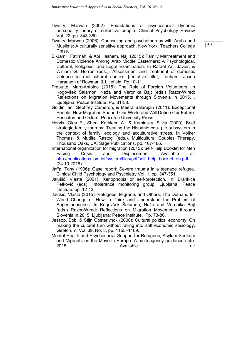- Dwairy, Marwan (2002): Foundations of psychosocial dynamic personality theory of collective people. Clinical Psychology Review Vol. 22, pp. 343-360.
- Dwairy, Marwan (2006): Counseling and psychotherapy with Arabs and Muslims: A culturally sensitive approach. New York: Teachers College Press.
- El-Jamil, Fatimah, & Abi Hashem, Naji (2015): Family Maltreatment and Domestic Violence Among Arab Middle Easterners: A Psychological, Cultural, Religious, and Legal Examination. In Rafael Art. Javier, & William G. Herron (eds.): Assessment and treatment of domestic violence in multicultural context [tentative title], Lanham: Jason Haranson of Rowman & Litlefield. Pp.10-11.
- Frebutte, Marc-Antoine (2015): The Role of Foreign Volunteers. In Kogovšek Šalamon, Neža and Veronika Bajt (eds.) Razor-Wired: Reflections on Migration Movements through Slovenia in 2015. . Ljubljana: Peace Institute. Pp. 31-38.
- Goldin Ian, Geoffrey Cameron, & Meera Balarajan (2011): Exceptional People: How Migration Shaped Our World and Will Define Our Future. Princeton and Oxford: Princeton University Press.
- Hervis, Olga E., Shea, Kathleen A., & Kaminsky, Silvia (2009): Brief strategic family therapy: Treating the Hispanic cou- ple subsystem in the context of family, ecology and acculturative stress. In Volker Thomas, & Mudita Rastogi (eds.). Multicultural Couples Therapy, Thousand Oaks, CA: Sage Publications. pp. 167-186.
- International organization for migration (2015): Self-Help Booklet for Men Facing Crisis and Displacement. Available at: http://publications.jom.jnt/system/files/pdf/self\_help\_booklet\_en.pdf (24.10.2016).
- Jaffa, Tony (1996): Case report: Severe trauma in a teenage refugee. Clinical Child Psychology and Psychiatry Vol. 1, pp. 347-351.
- Jalušič, Vlasta (2001): Xenophobia or self-protection. In: Brankica Petković (eds). Intolerance monitoring group. Ljubljana: Peace Institute. pp. 12-43.
- Jalušič, Vlasta (2015): Refugees, Migrants and Others: The Demand for World Change or How to Think and Understand the Problem of Superfluousness. In Kogovšek Šalamon, Neža and Veronika Bajt (eds.) Razor-Wired: Reflections on Migration Movements through Slovenia in 2015. Ljubljana: Peace Institute. Pp. 73-86.
- Jessop, Bob, & Stijn Oosterlynck (2008): Cultural political economy: On making the cultural turn without falling into soft economic sociology. Geoforum, Vol. 39, No. 3, pp. 1155–1169.
- Mental Health and Psychosocial Support for Refugees, Asylum Seekers and Migrants on the Move in Europe. A multi-agency guidance note. 2015. **Available at:** Available **at:** at: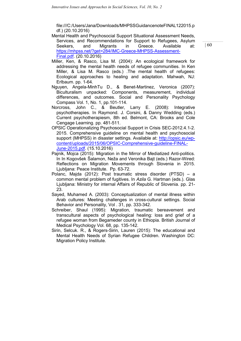file:///C:/Users/Jana/Downloads/MHPSSGuidancenoteFINAL122015.p df.) (20.10.2016)

- Mental Health and Psychosocial Support Situational Assessment Needs, Services, and Recommendations for Support to Refugees, Asylum Seekers, and Migrants in Greece. Available at: https://mhpss.net/?get=284/IMC-Greece-MHPSS-Assessment-Final.pdf. (20.10.2016)
- Miller, Ken, & Rasco, Lisa M. (2004): An ecological framework for addressing the mental health needs of refugee communities. In Ken Miller, & Lisa M. Rasco (eds.) .The mental health of refugees: Ecological approaches to healing and adaptation. Mahwah, NJ: Erlbaum. pp. 1-64.
- Nguyen, Angela-MinhTu D., & Benet-Martinez, Veronica (2007): Biculturalism unpacked: Components, measurement, individual differences, and outcomes. Social and Personality Psychology Compass Vol. 1, No. 1, pp.101-114.
- Norcross, John C., & Beutler, Larry E. (2008): Integrative psychotherapies. In Raymond. J. Corsini, & Danny Wedding (eds.) Current psychotherapiesm, 8th ed. Belmont, CA: Brooks and Cole Cengage Learning. pp. 481-511.
- OPSIC Operationalizing Psychosocial Support in Crisis SEC-2012.4.1-2. 2015. Comprehensive guideline on mental health and psychosocial support (MHPSS) in disaster settings. Available at: http://opsic.eu/wpcontent/uploads/2015/06/OPSIC-Comprehensive-guideline-FINAL-June-2015.pdf. (15.10.2016)
- Pajnik, Mojca (2015): Migration in the Mirror of Mediatized Anti-politics. In In Kogovšek Šalamon, Neža and Veronika Bajt (eds.) Razor-Wired: Reflections on Migration Movements through Slovenia in 2015. Ljubljana: Peace Institute. Pp. 63-72.
- Polanc, Majda (2012): Post traumatic stress disorder (PTSD) a common mental problem of fugitives. In Azila G. Hartman (eds.). Glas Ljubljana: Ministry for internal Affairs of Republic of Slovenia. pp. 21- 23.
- Sayed, Muhamed A. (2003): Conceptualization of mental illness within Arab cultures: Meeting challenges in cross-cultural settings. Social Behavior and Personality, Vol . 31, pp. 333-342.
- Schreiber, Shaul (1995): Migration, traumatic bereavement and transcultural aspects of psychological healing: loss and grief of a refugee woman from Begameder county in Ethiopia. British Journal of Medical Psychology Vol. 68, pp. 135-142.
- Sirin, Selcuk. R., & Rogers-Sirin, Lauren (2015): The educational and Mental Health Needs of Syrian Refugee Children. Washington DC: Migration Policy Institute.